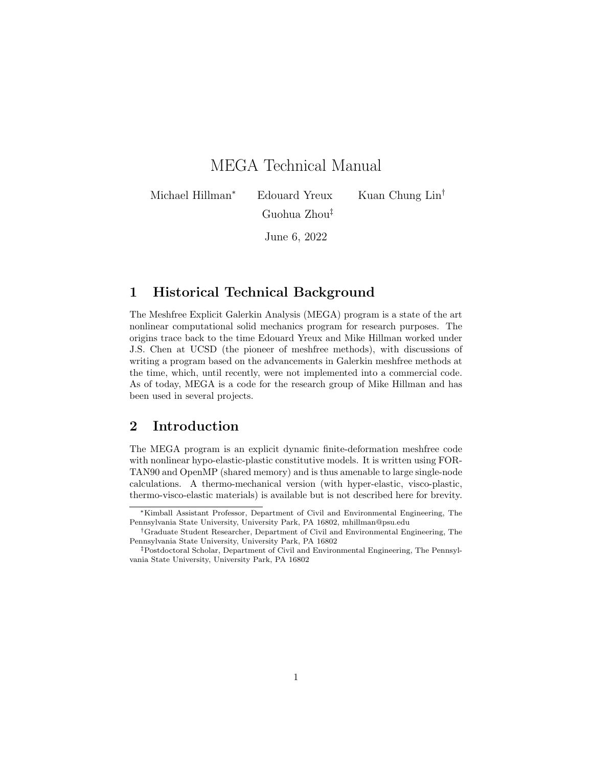# MEGA Technical Manual

Michael Hillman<sup>∗</sup> Edouard Yreux Kuan Chung Lin<sup>†</sup> Guohua Zhou‡

June 6, 2022

# 1 Historical Technical Background

The Meshfree Explicit Galerkin Analysis (MEGA) program is a state of the art nonlinear computational solid mechanics program for research purposes. The origins trace back to the time Edouard Yreux and Mike Hillman worked under J.S. Chen at UCSD (the pioneer of meshfree methods), with discussions of writing a program based on the advancements in Galerkin meshfree methods at the time, which, until recently, were not implemented into a commercial code. As of today, MEGA is a code for the research group of Mike Hillman and has been used in several projects.

# 2 Introduction

The MEGA program is an explicit dynamic finite-deformation meshfree code with nonlinear hypo-elastic-plastic constitutive models. It is written using FOR-TAN90 and OpenMP (shared memory) and is thus amenable to large single-node calculations. A thermo-mechanical version (with hyper-elastic, visco-plastic, thermo-visco-elastic materials) is available but is not described here for brevity.

<sup>∗</sup>Kimball Assistant Professor, Department of Civil and Environmental Engineering, The Pennsylvania State University, University Park, PA 16802, mhillman@psu.edu

<sup>†</sup>Graduate Student Researcher, Department of Civil and Environmental Engineering, The Pennsylvania State University, University Park, PA 16802

<sup>‡</sup>Postdoctoral Scholar, Department of Civil and Environmental Engineering, The Pennsylvania State University, University Park, PA 16802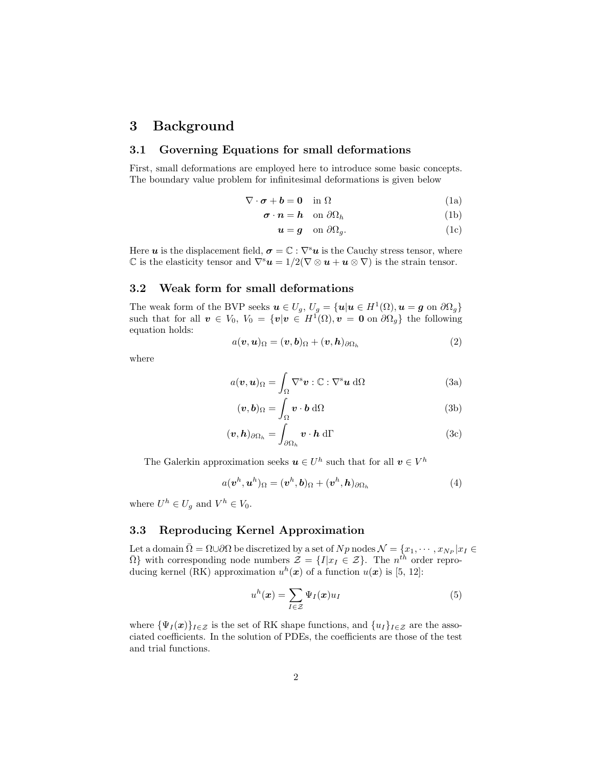### 3 Background

#### 3.1 Governing Equations for small deformations

First, small deformations are employed here to introduce some basic concepts. The boundary value problem for infinitesimal deformations is given below

$$
\nabla \cdot \boldsymbol{\sigma} + \boldsymbol{b} = \mathbf{0} \quad \text{in } \Omega \tag{1a}
$$

$$
\boldsymbol{\sigma} \cdot \boldsymbol{n} = \boldsymbol{h} \quad \text{on } \partial \Omega_h \tag{1b}
$$

$$
\mathbf{u} = \mathbf{g} \quad \text{on } \partial \Omega_g. \tag{1c}
$$

Here u is the displacement field,  $\sigma = \mathbb{C} : \nabla^s u$  is the Cauchy stress tensor, where  $\mathbb C$  is the elasticity tensor and  $\nabla^s u = 1/2(\nabla \otimes u + u \otimes \nabla)$  is the strain tensor.

#### 3.2 Weak form for small deformations

The weak form of the BVP seeks  $u \in U_g$ ,  $U_g = {u | u \in H^1(\Omega), u = g \text{ on } \partial \Omega_g}$ such that for all  $v \in V_0$ ,  $V_0 = \{v | v \in H^1(\Omega), v = 0 \text{ on } \partial \Omega_g\}$  the following equation holds:

$$
a(\boldsymbol{v},\boldsymbol{u})_{\Omega} = (\boldsymbol{v},\boldsymbol{b})_{\Omega} + (\boldsymbol{v},\boldsymbol{h})_{\partial\Omega_h}
$$
 (2)

where

$$
a(\boldsymbol{v}, \boldsymbol{u})_{\Omega} = \int_{\Omega} \nabla^s \boldsymbol{v} : \mathbb{C} : \nabla^s \boldsymbol{u} \, d\Omega \tag{3a}
$$

$$
(\boldsymbol{v}, \boldsymbol{b})_{\Omega} = \int_{\Omega} \boldsymbol{v} \cdot \boldsymbol{b} \, d\Omega \tag{3b}
$$

$$
(\boldsymbol{v}, \boldsymbol{h})_{\partial \Omega_h} = \int_{\partial \Omega_h} \boldsymbol{v} \cdot \boldsymbol{h} \, d\Gamma \tag{3c}
$$

The Galerkin approximation seeks  $u \in U^h$  such that for all  $v \in V^h$ 

$$
a(\boldsymbol{v}^h, \boldsymbol{u}^h)_{\Omega} = (\boldsymbol{v}^h, \boldsymbol{b})_{\Omega} + (\boldsymbol{v}^h, \boldsymbol{h})_{\partial \Omega_h}
$$
(4)

where  $U^h \in U_g$  and  $V^h \in V_0$ .

#### 3.3 Reproducing Kernel Approximation

Let a domain  $\bar{\Omega} = \Omega \cup \partial \Omega$  be discretized by a set of  $Np$  nodes  $\mathcal{N} = \{x_1, \cdots, x_{N_P} | x_I \in$  $\bar{\Omega}$ } with corresponding node numbers  $\mathcal{Z} = \{I | x_I \in \mathcal{Z}\}\$ . The  $n^{\hat{th}}$  order reproducing kernel (RK) approximation  $u^h(x)$  of a function  $u(x)$  is [5, 12]:

$$
u^{h}(\boldsymbol{x}) = \sum_{I \in \mathcal{Z}} \Psi_{I}(\boldsymbol{x}) u_{I} \tag{5}
$$

where  ${\Psi_I(x)}_{I\in\mathcal{Z}}$  is the set of RK shape functions, and  ${u_I}_{I\in\mathcal{Z}}$  are the associated coefficients. In the solution of PDEs, the coefficients are those of the test and trial functions.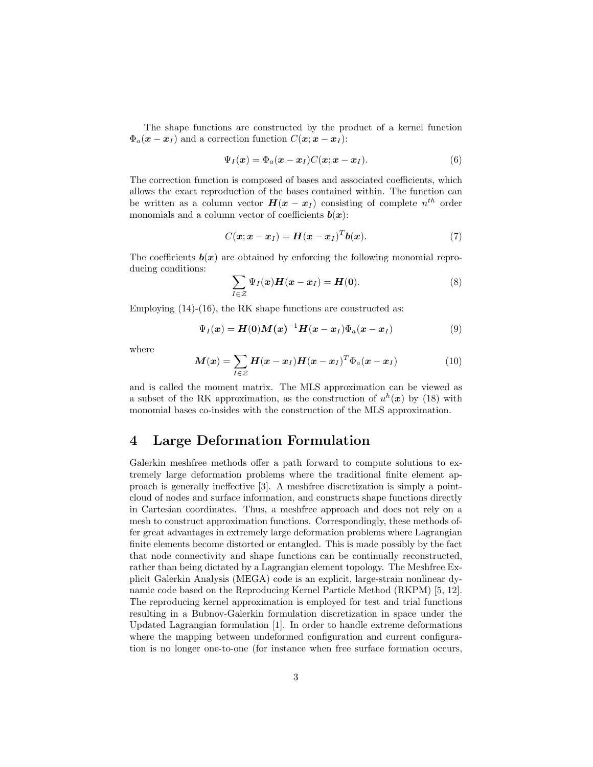The shape functions are constructed by the product of a kernel function  $\Phi_a(\mathbf{x} - \mathbf{x}_I)$  and a correction function  $C(\mathbf{x}; \mathbf{x} - \mathbf{x}_I)$ :

$$
\Psi_I(\boldsymbol{x}) = \Phi_a(\boldsymbol{x} - \boldsymbol{x}_I) C(\boldsymbol{x}; \boldsymbol{x} - \boldsymbol{x}_I). \tag{6}
$$

The correction function is composed of bases and associated coefficients, which allows the exact reproduction of the bases contained within. The function can be written as a column vector  $H(x - x_I)$  consisting of complete  $n^{th}$  order monomials and a column vector of coefficients  $\mathbf{b}(\mathbf{x})$ :

$$
C(\mathbf{x}; \mathbf{x} - \mathbf{x}_I) = \mathbf{H}(\mathbf{x} - \mathbf{x}_I)^T \mathbf{b}(\mathbf{x}). \tag{7}
$$

The coefficients  $b(x)$  are obtained by enforcing the following monomial reproducing conditions:

$$
\sum_{I \in \mathcal{Z}} \Psi_I(\boldsymbol{x}) \boldsymbol{H}(\boldsymbol{x} - \boldsymbol{x}_I) = \boldsymbol{H}(\boldsymbol{0}). \tag{8}
$$

Employing  $(14)-(16)$ , the RK shape functions are constructed as:

$$
\Psi_I(\boldsymbol{x}) = \boldsymbol{H}(\boldsymbol{0})\boldsymbol{M}(\boldsymbol{x})^{-1}\boldsymbol{H}(\boldsymbol{x}-\boldsymbol{x}_I)\Phi_a(\boldsymbol{x}-\boldsymbol{x}_I) \tag{9}
$$

where

$$
\boldsymbol{M}(\boldsymbol{x}) = \sum_{I \in \mathcal{Z}} \boldsymbol{H}(\boldsymbol{x} - \boldsymbol{x}_I) \boldsymbol{H}(\boldsymbol{x} - \boldsymbol{x}_I)^T \Phi_a(\boldsymbol{x} - \boldsymbol{x}_I)
$$
(10)

and is called the moment matrix. The MLS approximation can be viewed as a subset of the RK approximation, as the construction of  $u^h(x)$  by (18) with monomial bases co-insides with the construction of the MLS approximation.

# 4 Large Deformation Formulation

Galerkin meshfree methods offer a path forward to compute solutions to extremely large deformation problems where the traditional finite element approach is generally ineffective [3]. A meshfree discretization is simply a pointcloud of nodes and surface information, and constructs shape functions directly in Cartesian coordinates. Thus, a meshfree approach and does not rely on a mesh to construct approximation functions. Correspondingly, these methods offer great advantages in extremely large deformation problems where Lagrangian finite elements become distorted or entangled. This is made possibly by the fact that node connectivity and shape functions can be continually reconstructed, rather than being dictated by a Lagrangian element topology. The Meshfree Explicit Galerkin Analysis (MEGA) code is an explicit, large-strain nonlinear dynamic code based on the Reproducing Kernel Particle Method (RKPM) [5, 12]. The reproducing kernel approximation is employed for test and trial functions resulting in a Bubnov-Galerkin formulation discretization in space under the Updated Lagrangian formulation [1]. In order to handle extreme deformations where the mapping between undeformed configuration and current configuration is no longer one-to-one (for instance when free surface formation occurs,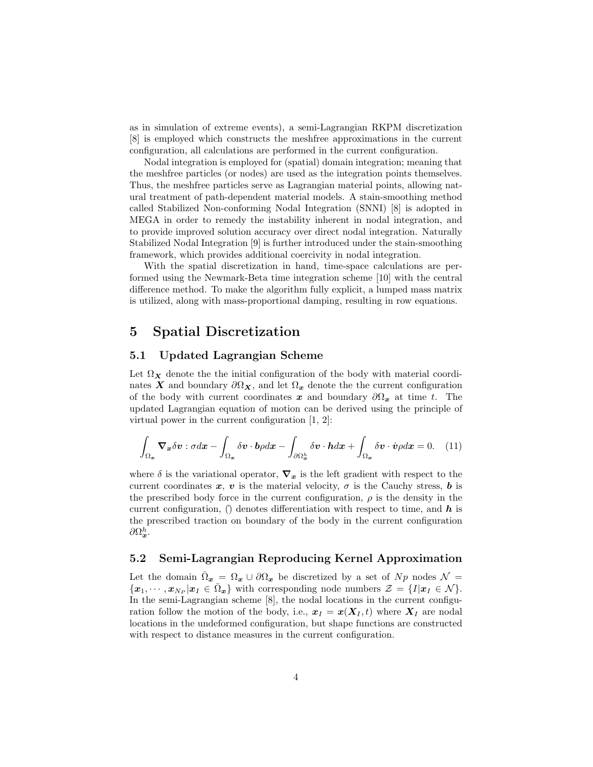as in simulation of extreme events), a semi-Lagrangian RKPM discretization [8] is employed which constructs the meshfree approximations in the current configuration, all calculations are performed in the current configuration.

Nodal integration is employed for (spatial) domain integration; meaning that the meshfree particles (or nodes) are used as the integration points themselves. Thus, the meshfree particles serve as Lagrangian material points, allowing natural treatment of path-dependent material models. A stain-smoothing method called Stabilized Non-conforming Nodal Integration (SNNI) [8] is adopted in MEGA in order to remedy the instability inherent in nodal integration, and to provide improved solution accuracy over direct nodal integration. Naturally Stabilized Nodal Integration [9] is further introduced under the stain-smoothing framework, which provides additional coercivity in nodal integration.

With the spatial discretization in hand, time-space calculations are performed using the Newmark-Beta time integration scheme [10] with the central difference method. To make the algorithm fully explicit, a lumped mass matrix is utilized, along with mass-proportional damping, resulting in row equations.

### 5 Spatial Discretization

#### 5.1 Updated Lagrangian Scheme

Let  $\Omega_X$  denote the the initial configuration of the body with material coordinates X and boundary  $\partial \Omega_{\mathbf{X}}$ , and let  $\Omega_{x}$  denote the the current configuration of the body with current coordinates x and boundary  $\partial\Omega_x$  at time t. The updated Lagrangian equation of motion can be derived using the principle of virtual power in the current configuration [1, 2]:

$$
\int_{\Omega_{\boldsymbol{x}}} \boldsymbol{\nabla}_{\boldsymbol{x}} \delta \boldsymbol{v} : \sigma d\boldsymbol{x} - \int_{\Omega_{\boldsymbol{x}}} \delta \boldsymbol{v} \cdot \boldsymbol{b} \rho d\boldsymbol{x} - \int_{\partial \Omega_{\boldsymbol{x}}^h} \delta \boldsymbol{v} \cdot \boldsymbol{h} d\boldsymbol{x} + \int_{\Omega_{\boldsymbol{x}}} \delta \boldsymbol{v} \cdot \dot{\boldsymbol{v}} \rho d\boldsymbol{x} = 0. \quad (11)
$$

where  $\delta$  is the variational operator,  $\nabla_x$  is the left gradient with respect to the current coordinates x, v is the material velocity,  $\sigma$  is the Cauchy stress, b is the prescribed body force in the current configuration,  $\rho$  is the density in the current configuration,  $\hat{v}$  denotes differentiation with respect to time, and  $\hat{h}$  is the prescribed traction on boundary of the body in the current configuration  $\partial \Omega_{\bm{x}}^h.$ 

#### 5.2 Semi-Lagrangian Reproducing Kernel Approximation

Let the domain  $\bar{\Omega}_x = \Omega_x \cup \partial \Omega_x$  be discretized by a set of  $Np$  nodes  $\mathcal{N} =$  $\{\boldsymbol{x}_1,\cdots,\boldsymbol{x}_{N_P}|\boldsymbol{x}_I\in\bar{\Omega}_{\boldsymbol{x}}\}\,$  with corresponding node numbers  $\mathcal{Z}=\{I|\boldsymbol{x}_I\in\mathcal{N}\}\,$ . In the semi-Lagrangian scheme [8], the nodal locations in the current configuration follow the motion of the body, i.e.,  $x_I = x(X_I, t)$  where  $X_I$  are nodal locations in the undeformed configuration, but shape functions are constructed with respect to distance measures in the current configuration.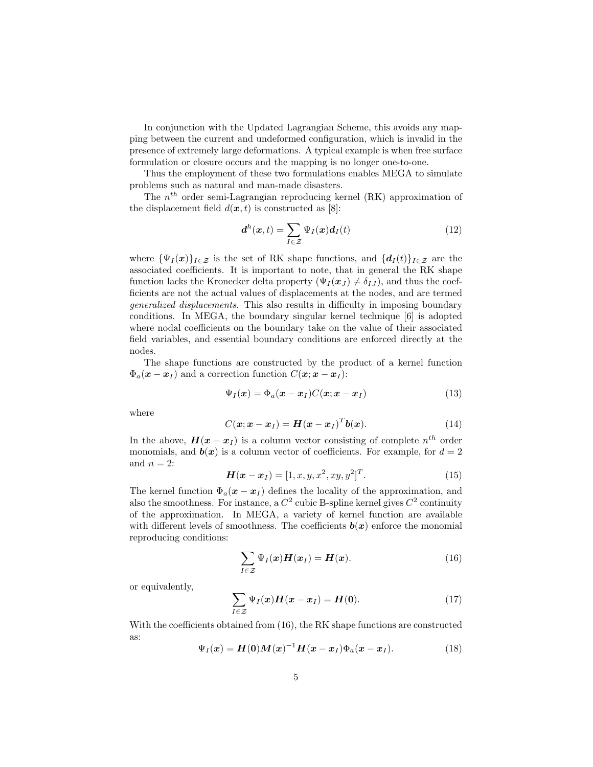In conjunction with the Updated Lagrangian Scheme, this avoids any mapping between the current and undeformed configuration, which is invalid in the presence of extremely large deformations. A typical example is when free surface formulation or closure occurs and the mapping is no longer one-to-one.

Thus the employment of these two formulations enables MEGA to simulate problems such as natural and man-made disasters.

The  $n^{th}$  order semi-Lagrangian reproducing kernel (RK) approximation of the displacement field  $d(\boldsymbol{x}, t)$  is constructed as [8]:

$$
\boldsymbol{d}^h(\boldsymbol{x},t) = \sum_{I \in \mathcal{Z}} \Psi_I(\boldsymbol{x}) \boldsymbol{d}_I(t) \tag{12}
$$

where  ${\Psi_I(\bm{x})}_{I \in \mathcal{Z}}$  is the set of RK shape functions, and  ${\{d_I(t)\}_{I \in \mathcal{Z}}}$  are the associated coefficients. It is important to note, that in general the RK shape function lacks the Kronecker delta property  $(\Psi_I(\boldsymbol{x}_J) \neq \delta_{IJ})$ , and thus the coefficients are not the actual values of displacements at the nodes, and are termed generalized displacements. This also results in difficulty in imposing boundary conditions. In MEGA, the boundary singular kernel technique [6] is adopted where nodal coefficients on the boundary take on the value of their associated field variables, and essential boundary conditions are enforced directly at the nodes.

The shape functions are constructed by the product of a kernel function  $\Phi_a(\mathbf{x}-\mathbf{x}_I)$  and a correction function  $C(\mathbf{x}; \mathbf{x}-\mathbf{x}_I)$ :

$$
\Psi_I(\boldsymbol{x}) = \Phi_a(\boldsymbol{x} - \boldsymbol{x}_I) C(\boldsymbol{x}; \boldsymbol{x} - \boldsymbol{x}_I)
$$
\n(13)

where

$$
C(\boldsymbol{x}; \boldsymbol{x} - \boldsymbol{x}_I) = \boldsymbol{H}(\boldsymbol{x} - \boldsymbol{x}_I)^T \boldsymbol{b}(\boldsymbol{x}). \tag{14}
$$

In the above,  $\boldsymbol{H}(\boldsymbol{x} - \boldsymbol{x}_I)$  is a column vector consisting of complete  $n^{th}$  order monomials, and  $\mathbf{b}(x)$  is a column vector of coefficients. For example, for  $d = 2$ and  $n = 2$ :

$$
H(x - x_I) = [1, x, y, x^2, xy, y^2]^T.
$$
 (15)

The kernel function  $\Phi_a(x-x_I)$  defines the locality of the approximation, and also the smoothness. For instance, a  $C^2$  cubic B-spline kernel gives  $C^2$  continuity of the approximation. In MEGA, a variety of kernel function are available with different levels of smoothness. The coefficients  $b(x)$  enforce the monomial reproducing conditions:

$$
\sum_{I \in \mathcal{Z}} \Psi_I(\boldsymbol{x}) \boldsymbol{H}(\boldsymbol{x}_I) = \boldsymbol{H}(\boldsymbol{x}). \tag{16}
$$

or equivalently,

$$
\sum_{I \in \mathcal{Z}} \Psi_I(\boldsymbol{x}) \boldsymbol{H}(\boldsymbol{x} - \boldsymbol{x}_I) = \boldsymbol{H}(\boldsymbol{0}). \tag{17}
$$

With the coefficients obtained from (16), the RK shape functions are constructed as:

$$
\Psi_I(\boldsymbol{x}) = \boldsymbol{H}(\boldsymbol{0})\boldsymbol{M}(\boldsymbol{x})^{-1}\boldsymbol{H}(\boldsymbol{x}-\boldsymbol{x}_I)\Phi_a(\boldsymbol{x}-\boldsymbol{x}_I). \tag{18}
$$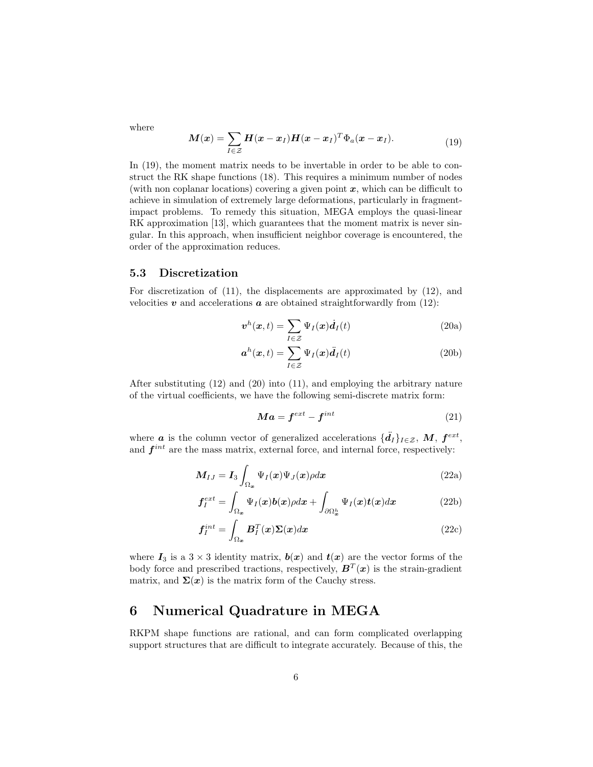where

$$
\boldsymbol{M}(\boldsymbol{x}) = \sum_{I \in \mathcal{Z}} \boldsymbol{H}(\boldsymbol{x} - \boldsymbol{x}_I) \boldsymbol{H}(\boldsymbol{x} - \boldsymbol{x}_I)^T \Phi_a(\boldsymbol{x} - \boldsymbol{x}_I). \tag{19}
$$

In  $(19)$ , the moment matrix needs to be invertable in order to be able to construct the RK shape functions (18). This requires a minimum number of nodes (with non coplanar locations) covering a given point  $x$ , which can be difficult to achieve in simulation of extremely large deformations, particularly in fragmentimpact problems. To remedy this situation, MEGA employs the quasi-linear RK approximation [13], which guarantees that the moment matrix is never singular. In this approach, when insufficient neighbor coverage is encountered, the order of the approximation reduces.

#### 5.3 Discretization

For discretization of (11), the displacements are approximated by (12), and velocities  $v$  and accelerations  $a$  are obtained straightforwardly from (12):

$$
\boldsymbol{v}^h(\boldsymbol{x},t) = \sum_{I \in \mathcal{Z}} \Psi_I(\boldsymbol{x}) \boldsymbol{d}_I(t) \tag{20a}
$$

$$
\boldsymbol{a}^{h}(\boldsymbol{x},t) = \sum_{I \in \mathcal{Z}} \Psi_{I}(\boldsymbol{x}) \ddot{d}_{I}(t)
$$
 (20b)

After substituting (12) and (20) into (11), and employing the arbitrary nature of the virtual coefficients, we have the following semi-discrete matrix form:

$$
Ma = f^{ext} - f^{int} \tag{21}
$$

where **a** is the column vector of generalized accelerations  $\{\ddot{d}_I\}_{I \in \mathcal{Z}}$ , M,  $f^{ext}$ , and  $f^{int}$  are the mass matrix, external force, and internal force, respectively:

$$
M_{IJ} = I_3 \int_{\Omega_{\boldsymbol{x}}} \Psi_I(\boldsymbol{x}) \Psi_J(\boldsymbol{x}) \rho d\boldsymbol{x}
$$
 (22a)

$$
\mathbf{f}_{I}^{ext} = \int_{\Omega_{\boldsymbol{x}}} \Psi_{I}(\boldsymbol{x}) \boldsymbol{b}(\boldsymbol{x}) \rho d\boldsymbol{x} + \int_{\partial \Omega_{\boldsymbol{x}}^{h}} \Psi_{I}(\boldsymbol{x}) \boldsymbol{t}(\boldsymbol{x}) d\boldsymbol{x}
$$
(22b)

$$
\boldsymbol{f}_I^{int} = \int_{\Omega_{\boldsymbol{x}}} \boldsymbol{B}_I^T(\boldsymbol{x}) \boldsymbol{\Sigma}(\boldsymbol{x}) d\boldsymbol{x}
$$
\n(22c)

where  $I_3$  is a  $3 \times 3$  identity matrix,  $b(x)$  and  $t(x)$  are the vector forms of the body force and prescribed tractions, respectively,  $B<sup>T</sup>(x)$  is the strain-gradient matrix, and  $\Sigma(x)$  is the matrix form of the Cauchy stress.

## 6 Numerical Quadrature in MEGA

RKPM shape functions are rational, and can form complicated overlapping support structures that are difficult to integrate accurately. Because of this, the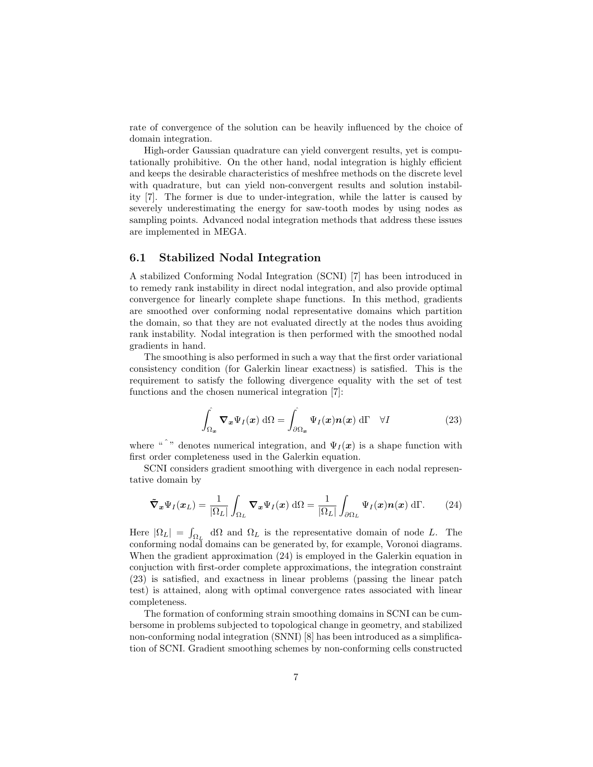rate of convergence of the solution can be heavily influenced by the choice of domain integration.

High-order Gaussian quadrature can yield convergent results, yet is computationally prohibitive. On the other hand, nodal integration is highly efficient and keeps the desirable characteristics of meshfree methods on the discrete level with quadrature, but can yield non-convergent results and solution instability [7]. The former is due to under-integration, while the latter is caused by severely underestimating the energy for saw-tooth modes by using nodes as sampling points. Advanced nodal integration methods that address these issues are implemented in MEGA.

#### 6.1 Stabilized Nodal Integration

A stabilized Conforming Nodal Integration (SCNI) [7] has been introduced in to remedy rank instability in direct nodal integration, and also provide optimal convergence for linearly complete shape functions. In this method, gradients are smoothed over conforming nodal representative domains which partition the domain, so that they are not evaluated directly at the nodes thus avoiding rank instability. Nodal integration is then performed with the smoothed nodal gradients in hand.

The smoothing is also performed in such a way that the first order variational consistency condition (for Galerkin linear exactness) is satisfied. This is the requirement to satisfy the following divergence equality with the set of test functions and the chosen numerical integration [7]:

$$
\int_{\Omega_{\boldsymbol{x}}} \boldsymbol{\nabla}_{\boldsymbol{x}} \Psi_I(\boldsymbol{x}) \, d\Omega = \int_{\partial \Omega_{\boldsymbol{x}}} \Psi_I(\boldsymbol{x}) \boldsymbol{n}(\boldsymbol{x}) \, d\Gamma \quad \forall I
$$
\n(23)

where "<sup> $\degree$ </sup>" denotes numerical integration, and  $\Psi_I(x)$  is a shape function with first order completeness used in the Galerkin equation.

SCNI considers gradient smoothing with divergence in each nodal representative domain by

$$
\tilde{\nabla}_{\boldsymbol{x}} \Psi_I(\boldsymbol{x}_L) = \frac{1}{|\Omega_L|} \int_{\Omega_L} \boldsymbol{\nabla}_{\boldsymbol{x}} \Psi_I(\boldsymbol{x}) \, d\Omega = \frac{1}{|\Omega_L|} \int_{\partial \Omega_L} \Psi_I(\boldsymbol{x}) \boldsymbol{n}(\boldsymbol{x}) \, d\Gamma. \tag{24}
$$

Here  $|\Omega_L| = \int_{\Omega_L} d\Omega$  and  $\Omega_L$  is the representative domain of node L. The conforming nodal domains can be generated by, for example, Voronoi diagrams. When the gradient approximation (24) is employed in the Galerkin equation in conjuction with first-order complete approximations, the integration constraint (23) is satisfied, and exactness in linear problems (passing the linear patch test) is attained, along with optimal convergence rates associated with linear completeness.

The formation of conforming strain smoothing domains in SCNI can be cumbersome in problems subjected to topological change in geometry, and stabilized non-conforming nodal integration (SNNI) [8] has been introduced as a simplification of SCNI. Gradient smoothing schemes by non-conforming cells constructed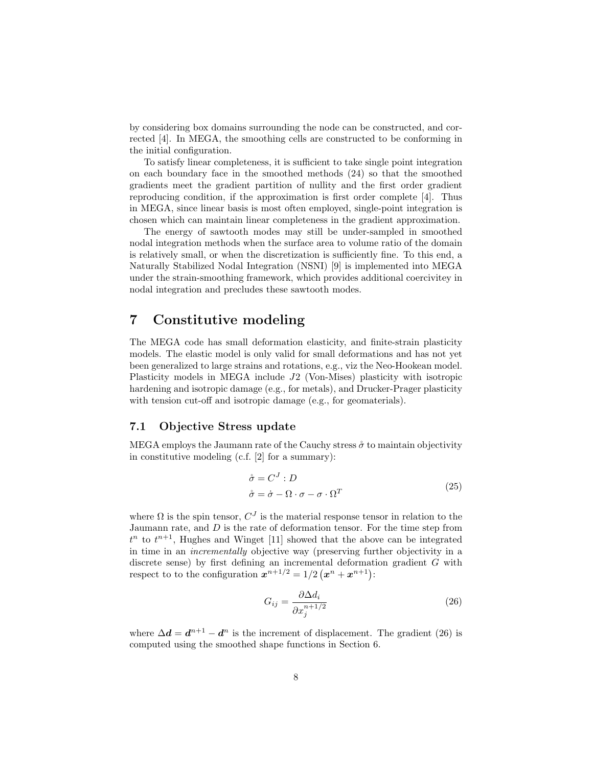by considering box domains surrounding the node can be constructed, and corrected [4]. In MEGA, the smoothing cells are constructed to be conforming in the initial configuration.

To satisfy linear completeness, it is sufficient to take single point integration on each boundary face in the smoothed methods (24) so that the smoothed gradients meet the gradient partition of nullity and the first order gradient reproducing condition, if the approximation is first order complete [4]. Thus in MEGA, since linear basis is most often employed, single-point integration is chosen which can maintain linear completeness in the gradient approximation.

The energy of sawtooth modes may still be under-sampled in smoothed nodal integration methods when the surface area to volume ratio of the domain is relatively small, or when the discretization is sufficiently fine. To this end, a Naturally Stabilized Nodal Integration (NSNI) [9] is implemented into MEGA under the strain-smoothing framework, which provides additional coercivitey in nodal integration and precludes these sawtooth modes.

### 7 Constitutive modeling

The MEGA code has small deformation elasticity, and finite-strain plasticity models. The elastic model is only valid for small deformations and has not yet been generalized to large strains and rotations, e.g., viz the Neo-Hookean model. Plasticity models in MEGA include J2 (Von-Mises) plasticity with isotropic hardening and isotropic damage (e.g., for metals), and Drucker-Prager plasticity with tension cut-off and isotropic damage (e.g., for geomaterials).

#### 7.1 Objective Stress update

MEGA employs the Jaumann rate of the Cauchy stress  $\sigma$  to maintain objectivity in constitutive modeling (c.f. [2] for a summary):

$$
\dot{\sigma} = C^J : D
$$
  
\n
$$
\dot{\sigma} = \dot{\sigma} - \Omega \cdot \sigma - \sigma \cdot \Omega^T
$$
\n(25)

where  $\Omega$  is the spin tensor,  $C^{J}$  is the material response tensor in relation to the Jaumann rate, and  $D$  is the rate of deformation tensor. For the time step from  $t^n$  to  $t^{n+1}$ , Hughes and Winget [11] showed that the above can be integrated in time in an incrementally objective way (preserving further objectivity in a discrete sense) by first defining an incremental deformation gradient G with respect to to the configuration  $x^{n+1/2} = 1/2 (x^n + x^{n+1})$ :

$$
G_{ij} = \frac{\partial \Delta d_i}{\partial x_j^{n+1/2}}\tag{26}
$$

where  $\Delta d = d^{n+1} - d^n$  is the increment of displacement. The gradient (26) is computed using the smoothed shape functions in Section 6.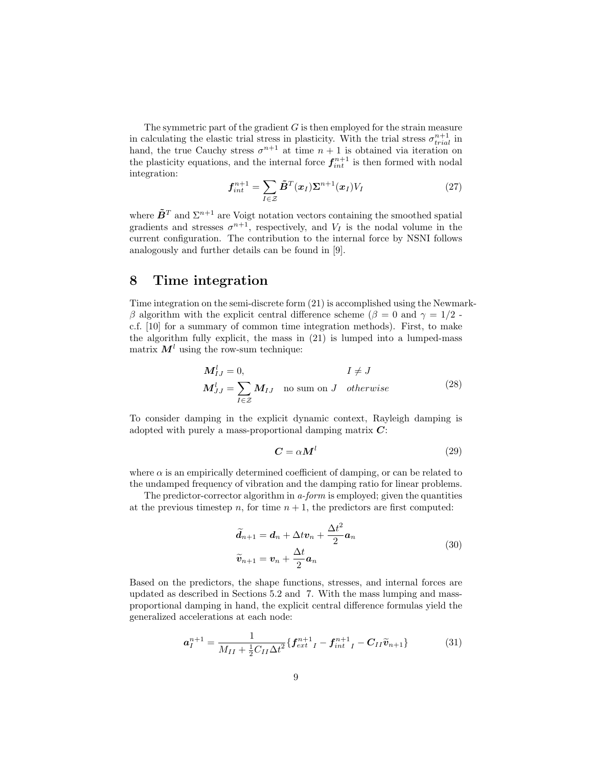The symmetric part of the gradient  $G$  is then employed for the strain measure in calculating the elastic trial stress in plasticity. With the trial stress  $\sigma_{trial}^{n+1}$  in hand, the true Cauchy stress  $\sigma^{n+1}$  at time  $n+1$  is obtained via iteration on the plasticity equations, and the internal force  $f_{int}^{n+1}$  is then formed with nodal integration:

$$
\boldsymbol{f}_{int}^{n+1} = \sum_{I \in \mathcal{Z}} \tilde{\boldsymbol{B}}^{T}(\boldsymbol{x}_{I}) \boldsymbol{\Sigma}^{n+1}(\boldsymbol{x}_{I}) V_{I}
$$
(27)

where  $\tilde{\mathbf{B}}^T$  and  $\Sigma^{n+1}$  are Voigt notation vectors containing the smoothed spatial gradients and stresses  $\sigma^{n+1}$ , respectively, and  $V_I$  is the nodal volume in the current configuration. The contribution to the internal force by NSNI follows analogously and further details can be found in [9].

### 8 Time integration

Time integration on the semi-discrete form (21) is accomplished using the Newmarkβ algorithm with the explicit central difference scheme ( $β = 0$  and  $γ = 1/2$ . c.f. [10] for a summary of common time integration methods). First, to make the algorithm fully explicit, the mass in (21) is lumped into a lumped-mass matrix  $M<sup>l</sup>$  using the row-sum technique:

$$
M_{IJ}^l = 0,
$$
  
\n
$$
I \neq J
$$
  
\n
$$
M_{JJ}^l = \sum_{I \in \mathcal{Z}} M_{IJ}
$$
 no sum on J otherwise (28)

To consider damping in the explicit dynamic context, Rayleigh damping is adopted with purely a mass-proportional damping matrix  $C$ :

$$
C = \alpha M^l \tag{29}
$$

where  $\alpha$  is an empirically determined coefficient of damping, or can be related to the undamped frequency of vibration and the damping ratio for linear problems.

The predictor-corrector algorithm in a-form is employed; given the quantities at the previous timestep n, for time  $n + 1$ , the predictors are first computed:

$$
\widetilde{d}_{n+1} = d_n + \Delta t v_n + \frac{\Delta t^2}{2} a_n
$$
  

$$
\widetilde{v}_{n+1} = v_n + \frac{\Delta t}{2} a_n
$$
 (30)

Based on the predictors, the shape functions, stresses, and internal forces are updated as described in Sections 5.2 and 7. With the mass lumping and massproportional damping in hand, the explicit central difference formulas yield the generalized accelerations at each node:

$$
a_{I}^{n+1} = \frac{1}{M_{II} + \frac{1}{2}C_{II}\Delta t^{2}} \{f_{ext}^{n+1}I - f_{int}^{n+1}I - C_{II}\widetilde{v}_{n+1}\}
$$
(31)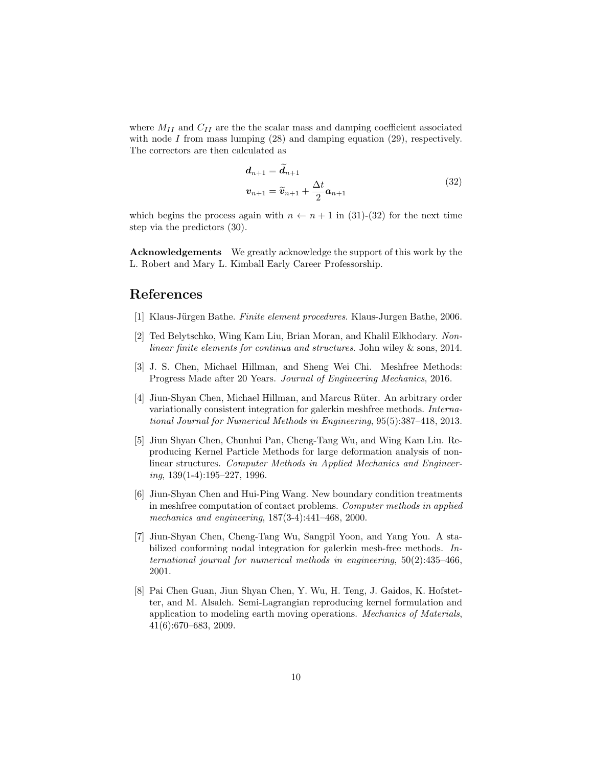where  $M_{II}$  and  $C_{II}$  are the the scalar mass and damping coefficient associated with node  $I$  from mass lumping  $(28)$  and damping equation  $(29)$ , respectively. The correctors are then calculated as

$$
d_{n+1} = d_{n+1}
$$
  

$$
v_{n+1} = \widetilde{v}_{n+1} + \frac{\Delta t}{2} a_{n+1}
$$
 (32)

which begins the process again with  $n \leftarrow n + 1$  in (31)-(32) for the next time step via the predictors (30).

Acknowledgements We greatly acknowledge the support of this work by the L. Robert and Mary L. Kimball Early Career Professorship.

# References

- [1] Klaus-Jürgen Bathe. Finite element procedures. Klaus-Jurgen Bathe, 2006.
- [2] Ted Belytschko, Wing Kam Liu, Brian Moran, and Khalil Elkhodary. Nonlinear finite elements for continua and structures. John wiley & sons, 2014.
- [3] J. S. Chen, Michael Hillman, and Sheng Wei Chi. Meshfree Methods: Progress Made after 20 Years. Journal of Engineering Mechanics, 2016.
- [4] Jiun-Shyan Chen, Michael Hillman, and Marcus Rüter. An arbitrary order variationally consistent integration for galerkin meshfree methods. International Journal for Numerical Methods in Engineering, 95(5):387–418, 2013.
- [5] Jiun Shyan Chen, Chunhui Pan, Cheng-Tang Wu, and Wing Kam Liu. Reproducing Kernel Particle Methods for large deformation analysis of nonlinear structures. Computer Methods in Applied Mechanics and Engineer $inq$ ,  $139(1-4):195-227$ ,  $1996$ .
- [6] Jiun-Shyan Chen and Hui-Ping Wang. New boundary condition treatments in meshfree computation of contact problems. Computer methods in applied mechanics and engineering, 187(3-4):441–468, 2000.
- [7] Jiun-Shyan Chen, Cheng-Tang Wu, Sangpil Yoon, and Yang You. A stabilized conforming nodal integration for galerkin mesh-free methods. International journal for numerical methods in engineering, 50(2):435–466, 2001.
- [8] Pai Chen Guan, Jiun Shyan Chen, Y. Wu, H. Teng, J. Gaidos, K. Hofstetter, and M. Alsaleh. Semi-Lagrangian reproducing kernel formulation and application to modeling earth moving operations. Mechanics of Materials, 41(6):670–683, 2009.